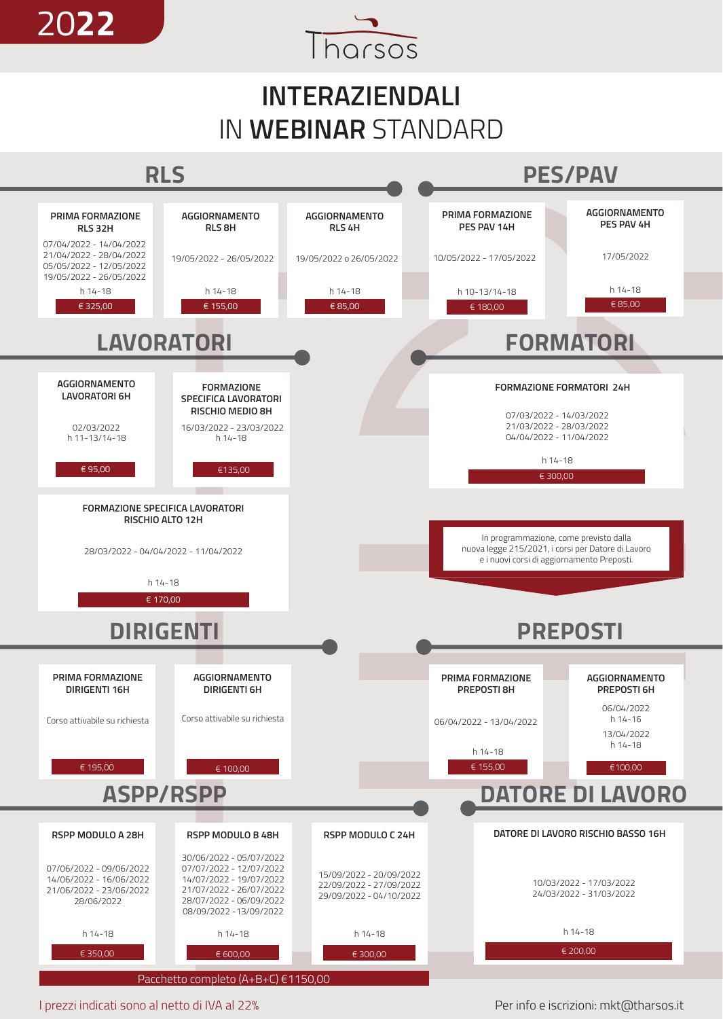

## **INTERAZIENDALI** IN **WEBINAR** STANDARD



I prezzi indicati sono al netto di IVA al 22%

Per info e iscrizioni: mkt@tharsos.it